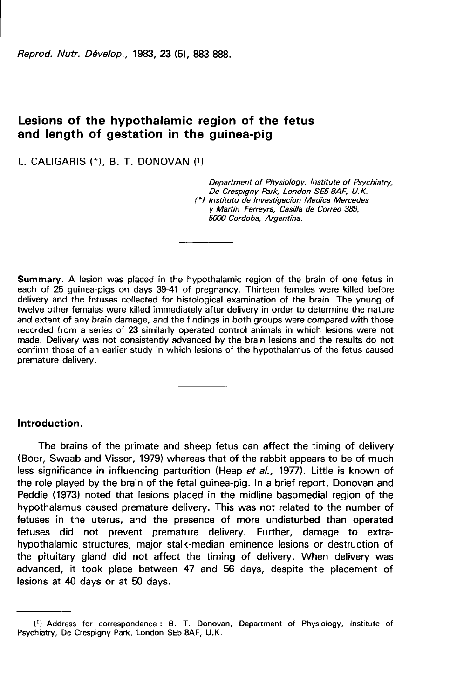Reprod. Nutr. Dévelop., 1983, 23 (5), 883-888.

# Lesions of the hypothalamic region of the fetus and length of gestation in the guinea-pig

L. CALIGARIS (\*). B. T. DONOVAN (1)

Department of Physiology, Institute of Psychiatry,<br>De Crespigny Park, London SE5 8AF, U.K. (\*) lnstituto de lnvestigacion Medica Mercedes y Martin Ferreyra, Casilla de Correo 389, 5000 Cordoba, Argentina.

Summary. A lesion was placed in the hypothalamic region of the brain of one fetus in each of 25 guinea-pigs on days 39-41 of pregnancy. Thirteen females were killed before delivery and the fetuses collected for histological examination of the brain. The young of twelve other females were killed immediately after delivery in order to determine the nature and extent of any brain damage, and the findings in both groups were compared with those recorded from a series of 23 similarly operated control animals in which lesions were not made. Delivery was not consistently advanced by the brain lesions and the results do not confirm those of an earlier study in which lesions of the hypothalamus of the fetus caused premature delivery.

## Introduction.

The brains of the primate and sheep fetus can affect the timing of delivery (Boer, Swaab and Visser, 1979) whereas that of the rabbit appears to be of much less significance in influencing parturition (Heap et al., 1977). Little is known of the role played by the brain of the fetal guinea-pig. In a brief report, Donovan and Peddie (1973) noted that lesions placed in the midline basomedial region of the hypothalamus caused premature delivery. This was not related to the number of fetuses in the uterus, and the presence of more undisturbed than operated fetuses did not prevent premature delivery. Further, damage to extrahypothalamic structures, major stalk-median eminence lesions or destruction of the pituitary gland did not affect the timing of delivery. When delivery was advanced, it took place between 47 and 56 days, despite the placement of lesions at 40 days or at 50 days.

<sup>(1)</sup> Address for correspondence : B. T. Donovan, Department of Physiology, Institute of Psychiatry, De Crespigny Park, London SE5 8AF, U.K.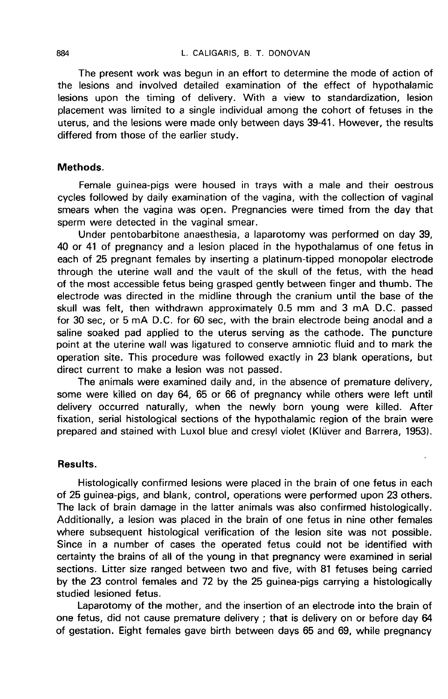The present work was begun in an effort to determine the mode of action of the lesions and involved detailed examination of the effect of hypothalamic lesions upon the timing of delivery. With a view to standardization, lesion placement was limited to a single individual among the cohort of fetuses in the uterus, and the lesions were made only between days 39-41. However, the results differed from those of the earlier study.

### Methods.

Female guinea-pigs were housed in trays with a male and their oestrous cycles followed by daily examination of the vagina, with the collection of vaginal smears when the vagina was open. Pregnancies were timed from the day that sperm were detected in the vaginal smear.

Under pentobarbitone anaesthesia, a laparotomy was performed on day 39, 40 or 41 of pregnancy and a lesion placed in the hypothalamus of one fetus in each of 25 pregnant females by inserting a platinum-tipped monopolar electrode through the uterine wall and the vault of the skull of the fetus, with the head of the most accessible fetus being grasped gently between finger and thumb. The electrode was directed in the midline through the cranium until the base of the skull was felt, then withdrawn approximately 0.5 mm and 3 mA D.C. passed for 30 sec, or 5 mA D.C. for 60 sec, with the brain electrode being anodal and a saline soaked pad applied to the uterus serving as the cathode. The puncture point at the uterine wall was ligatured to conserve amniotic fluid and to mark the operation site. This procedure was followed exactly in 23 blank operations, but direct current to make a lesion was not passed.

The animals were examined daily and, in the absence of premature delivery, some were killed on day 64, 65 or 66 of pregnancy while others were left until delivery occurred naturally, when the newly born young were killed. After fixation, serial histological sections of the hypothalamic region of the brain were prepared and stained with Luxol blue and cresyl violet (Klüver and Barrera, 1953).

#### Results.

Histologically confirmed lesions were placed in the brain of one fetus in each of 25 guinea-pigs, and blank, control, operations were performed upon 23 others. The lack of brain damage in the latter animals was also confirmed histologically. Additionally, a lesion was placed in the brain of one fetus in nine other females where subsequent histological verification of the lesion site was not possible. Since in a number of cases the operated fetus could not be identified with certainty the brains of all of the young in that pregnancy were examined in serial sections. Litter size ranged between two and five, with 81 fetuses being carried by the 23 control females and 72 by the 25 guinea-pigs carrying a histologically studied lesioned fetus.

Laparotomy of the mother, and the insertion of an electrode into the brain of one fetus, did not cause premature delivery ; that is delivery on or before day 64 of gestation. Eight females gave birth between days 65 and 69, while pregnancy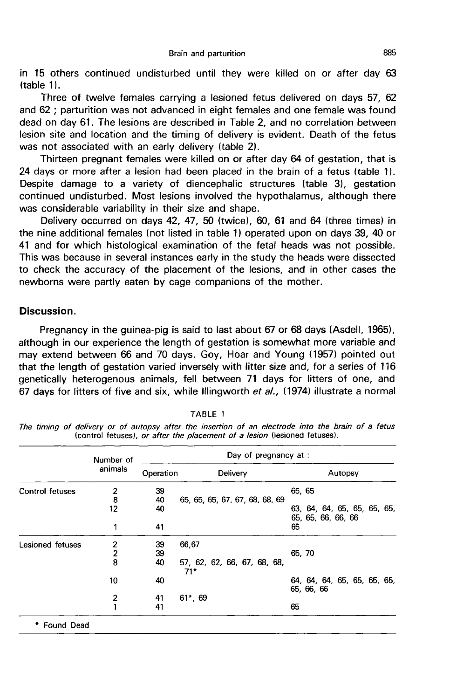in 15 others continued undisturbed until they were killed on or after day 63  $(table 1)$ .

Three of twelve females carrying a lesioned fetus delivered on days 57, 62 and 62 ; parturition was not advanced in eight females and one female was found dead on day 61. The lesions are described in Table 2, and no correlation between lesion site and location and the timing of delivery is evident. Death of the fetus was not associated with an early delivery (table 2).

Thirteen pregnant females were killed on or after day 64 of gestation, that is 24 days or more after a lesion had been placed in the brain of a fetus (table 1). Despite damage to a variety of diencephalic structures (table 3), gestation continued undisturbed. Most lesions involved the hypothalamus, although there was considerable variability in their size and shape.

Delivery occurred on days 42, 47, 50 (twice), 60, 61 and 64 (three times) in the nine additional females (not listed in table 1) operated upon on days 39, 40 or 41 and for which histological examination of the fetal heads was not possible. This was because in several instances early in the study the heads were dissected to check the accuracy of the placement of the lesions, and in other cases the newborns were partly eaten by cage companions of the mother.

## Discussion.

Pregnancy in the guinea-pig is said to last about 67 or 68 days (Asdell, 1965), although in our experience the length of gestation is somewhat more variable and may extend between 66 and 70 days. Goy, Hoar and Young (1957) pointed out that the length of gestation varied inversely with litter size and, for a series of 116 genetically heterogenous animals, fell between 71 days for litters of one, and 67 days for litters of five and six, while Illingworth et  $al.$ , (1974) illustrate a normal

|                   | Number of       | Day of pregnancy at: |                                      |        |            |                                                   |  |  |  |  |  |
|-------------------|-----------------|----------------------|--------------------------------------|--------|------------|---------------------------------------------------|--|--|--|--|--|
|                   | animals<br>2    | Operation            | Delivery                             |        | Autopsy    |                                                   |  |  |  |  |  |
| Control fetuses   |                 | 39                   |                                      | 65, 65 |            |                                                   |  |  |  |  |  |
|                   | $\bar{8}$<br>12 | 40<br>40             | 65, 65, 65, 67, 67, 68, 68, 69       |        |            | 63, 64, 64, 65, 65, 65, 65,<br>65, 65, 66, 66, 66 |  |  |  |  |  |
|                   | 1               | 41                   |                                      | 65     |            |                                                   |  |  |  |  |  |
| Lesioned fetuses  | 2               | 39                   | 66,67                                |        |            |                                                   |  |  |  |  |  |
|                   | $\overline{c}$  | 39                   |                                      | 65, 70 |            |                                                   |  |  |  |  |  |
|                   | 8               | 40                   | 57, 62, 62, 66, 67, 68, 68,<br>$71*$ |        |            |                                                   |  |  |  |  |  |
|                   | 10              | 40                   |                                      |        | 65, 66, 66 | 64, 64, 64, 65, 65, 65, 65,                       |  |  |  |  |  |
|                   | 2               | 41                   | $61^*$ , 69                          |        |            |                                                   |  |  |  |  |  |
|                   |                 | 41                   |                                      | 65     |            |                                                   |  |  |  |  |  |
| <b>Found Dead</b> |                 |                      |                                      |        |            |                                                   |  |  |  |  |  |

TABLE 1

The timing of delivery or of autopsy after the insertion of an electrode into the brain of a fetus (control fetuses), or after the placement of a lesion (lesioned fetuses).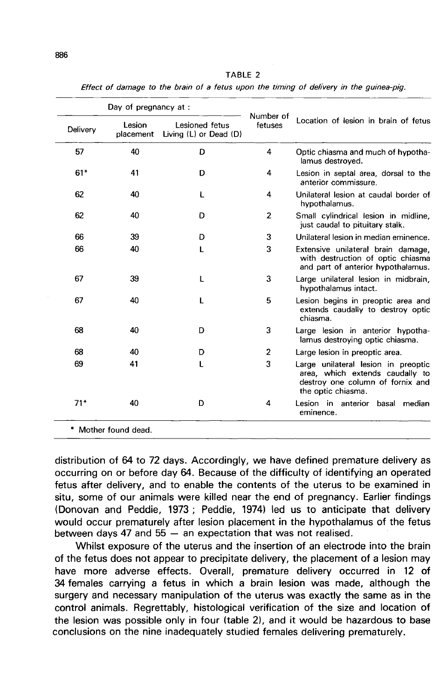| ٦ | ٦ |  |
|---|---|--|
|   |   |  |
|   | I |  |

|          | Day of pregnancy at: |                                          | Number of      |                                                                                                                                  |  |  |  |
|----------|----------------------|------------------------------------------|----------------|----------------------------------------------------------------------------------------------------------------------------------|--|--|--|
| Delivery | Lesion<br>placement  | Lesioned fetus<br>Living (L) or Dead (D) |                | Location of lesion in brain of fetus                                                                                             |  |  |  |
| 57       | 40                   | D                                        | 4              | Optic chiasma and much of hypotha-<br>lamus destroved.                                                                           |  |  |  |
| $61*$    | 41                   | D                                        | 4              | Lesion in septal area, dorsal to the<br>anterior commissure.                                                                     |  |  |  |
| 62       | 40                   | ŧ                                        | 4              | Unilateral lesion at caudal border of<br>hypothalamus.                                                                           |  |  |  |
| 62       | 40                   | D                                        | $\overline{2}$ | Small cylindrical lesion in midline,<br>just caudal to pituitary stalk.                                                          |  |  |  |
| 66       | 39                   | D                                        | 3              | Unilateral lesion in median eminence.                                                                                            |  |  |  |
| 66       | 40                   | L                                        | 3              | Extensive unilateral brain damage,<br>with destruction of optic chiasma<br>and part of anterior hypothalamus.                    |  |  |  |
| 67       | 39                   | T                                        | 3              | Large unilateral lesion in midbrain,<br>hypothalamus intact.                                                                     |  |  |  |
| 67       | 40                   | L                                        | 5              | Lesion begins in preoptic area and<br>extends caudally to destroy optic<br>chiasma.                                              |  |  |  |
| 68       | 40                   | D                                        | 3              | Large lesion in anterior hypotha-<br>lamus destroying optic chiasma.                                                             |  |  |  |
| 68       | 40                   | D                                        | $\overline{2}$ | Large lesion in preoptic area.                                                                                                   |  |  |  |
| 69       | 41                   | L                                        | 3              | Large unilateral lesion in preoptic<br>area, which extends caudally to<br>destroy one column of fornix and<br>the optic chiasma. |  |  |  |
| $71*$    | 40                   | D                                        | 4              | Lesion in anterior basal median<br>eminence.                                                                                     |  |  |  |

**TABLE 2** Effect of damage to the brain of a fetus upon the timing of delivery in the guinea-pig.

distribution of 64 to 72 days. Accordingly, we have defined premature delivery as occurring on or before day 64. Because of the difficulty of identifying an operated fetus after delivery, and to enable the contents of the uterus to be examined in situ, some of our animals were killed near the end of pregnancy. Earlier findings (Donovan and Peddie, 1973 ; Peddie, 1974) led us to anticipate that delivery would occur prematurely after lesion placement in the hypothalamus of the fetus between days 47 and  $55 -$  an expectation that was not realised.

Whilst exposure of the uterus and the insertion of an electrode into the brain of the fetus does not appear to precipitate delivery, the placement of a lesion may have more adverse effects. Overall, premature delivery occurred in 12 of 34 females carrying a fetus in which a brain lesion was made, although the surgery and necessary manipulation of the uterus was exactly the same as in the control animals. Regrettably, histological verification of the size and location of the lesion was possible only in four (table 2), and it would be hazardous to base conclusions on the nine inadequately studied females delivering prematurely.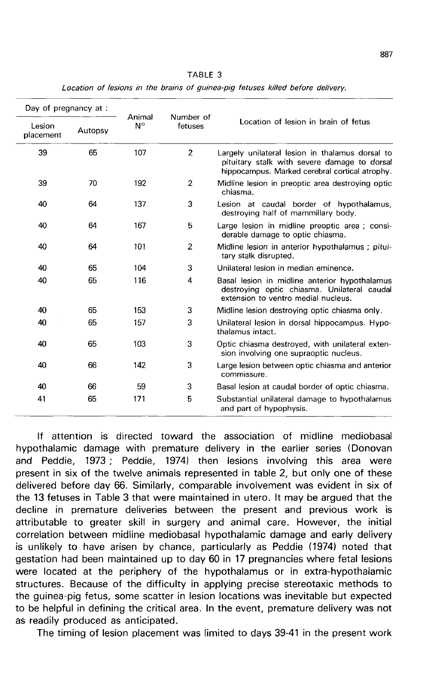| Day of pregnancy at: |         |                       |                      |                                                                                                                                                   |  |  |  |  |
|----------------------|---------|-----------------------|----------------------|---------------------------------------------------------------------------------------------------------------------------------------------------|--|--|--|--|
| Lesion<br>placement  | Autopsy | Animal<br>$N^{\circ}$ | Number of<br>fetuses | Location of lesion in brain of fetus                                                                                                              |  |  |  |  |
| 39                   | 65      | 107                   | $\overline{2}$       | Largely unilateral lesion in thalamus dorsal to<br>pituitary stalk with severe damage to dorsal<br>hippocampus. Marked cerebral cortical atrophy. |  |  |  |  |
| 39                   | 70      | 192                   | $\overline{2}$       | Midline lesion in preoptic area destroying optic<br>chiasma.                                                                                      |  |  |  |  |
| 40                   | 64      | 137                   | 3                    | Lesion at caudal border of hypothalamus,<br>destroying half of mammillary body.                                                                   |  |  |  |  |
| 40                   | 64      | 167                   | 5                    | Large lesion in midline preoptic area ; consi-<br>derable damage to optic chiasma.                                                                |  |  |  |  |
| 40                   | 64      | 101                   | $\overline{2}$       | Midline lesion in anterior hypothalamus; pitui-<br>tary stalk disrupted.                                                                          |  |  |  |  |
| 40                   | 65      | 104                   | 3                    | Unilateral lesion in median eminence.                                                                                                             |  |  |  |  |
| 40                   | 65      | 116                   | 4                    | Basal lesion in midline anterior hypothalamus<br>destroying optic chiasma. Unilateral caudal<br>extension to ventro medial nucleus.               |  |  |  |  |
| 40                   | 65      | 153                   | 3                    | Midline lesion destroying optic chiasma only.                                                                                                     |  |  |  |  |
| 40                   | 65      | 157                   | 3                    | Unilateral lesion in dorsal hippocampus. Hypo-<br>thalamus intact.                                                                                |  |  |  |  |
| 40                   | 65      | 103                   | 3                    | Optic chiasma destroyed, with unilateral exten-<br>sion involving one supraoptic nucleus.                                                         |  |  |  |  |
| 40                   | 66      | 142                   | 3                    | Large lesion between optic chiasma and anterior<br>commissure.                                                                                    |  |  |  |  |
| 40                   | 66      | 59                    | 3                    | Basal lesion at caudal border of optic chiasma.                                                                                                   |  |  |  |  |
| 41                   | 65      | 171                   | 5                    | Substantial unilateral damage to hypothalamus<br>and part of hypophysis.                                                                          |  |  |  |  |

TABLE 3

Location of lesions in the brains of guinea-pig fetuses killed before delivery.

If attention is directed toward the association of midline mediobasal hypothalamic damage with premature delivery in the earlier series (Donovan and Peddie, 1973 ; Peddie, 1974) then lesions involving this area were present in six of the twelve animals represented in table 2, but only one of these delivered before day 66. Similarly, comparable involvement was evident in six of the 13 fetuses in Table 3 that were maintained in utero. It may be argued that the decline in premature deliveries between the present and previous work is attributable to greater skill in surgery and animal care. However, the initial correlation between midline mediobasal hypothalamic damage and early delivery is unlikely to have arisen by chance, particularly as Peddie (1974) noted that gestation had been maintained up to day 60 in 17 pregnancies where fetal lesions were located at the periphery of the hypothalamus or in extra-hypothalamic structures. Because of the difficulty in applying precise stereotaxic methods to the guinea-pig fetus, some scatter in lesion locations was inevitable but expected to be helpful in defining the critical area. In the event, premature delivery was not as readily produced as anticipated.

The timing of lesion placement was limited to days 39-41 in the present work